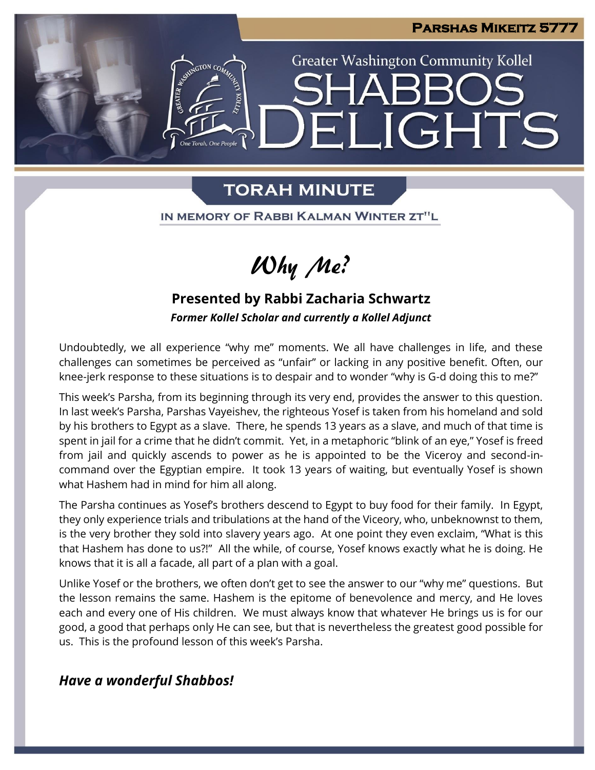

# **TORAH MINUTE**

IN MEMORY OF RABBI KALMAN WINTER ZT"L

# Why Me?

# **Presented by Rabbi Zacharia Schwartz**

*Former Kollel Scholar and currently a Kollel Adjunct*

Undoubtedly, we all experience "why me" moments. We all have challenges in life, and these challenges can sometimes be perceived as "unfair" or lacking in any positive benefit. Often, our knee-jerk response to these situations is to despair and to wonder "why is G-d doing this to me?"

This week's Parsha, from its beginning through its very end, provides the answer to this question. In last week's Parsha, Parshas Vayeishev, the righteous Yosef is taken from his homeland and sold by his brothers to Egypt as a slave. There, he spends 13 years as a slave, and much of that time is spent in jail for a crime that he didn't commit. Yet, in a metaphoric "blink of an eye," Yosef is freed from jail and quickly ascends to power as he is appointed to be the Viceroy and second-incommand over the Egyptian empire. It took 13 years of waiting, but eventually Yosef is shown what Hashem had in mind for him all along.

The Parsha continues as Yosef's brothers descend to Egypt to buy food for their family. In Egypt, they only experience trials and tribulations at the hand of the Viceory, who, unbeknownst to them, is the very brother they sold into slavery years ago. At one point they even exclaim, "What is this that Hashem has done to us?!" All the while, of course, Yosef knows exactly what he is doing. He knows that it is all a facade, all part of a plan with a goal.

Unlike Yosef or the brothers, we often don't get to see the answer to our "why me" questions. But the lesson remains the same. Hashem is the epitome of benevolence and mercy, and He loves each and every one of His children. We must always know that whatever He brings us is for our good, a good that perhaps only He can see, but that is nevertheless the greatest good possible for us. This is the profound lesson of this week's Parsha.

## *Have a wonderful Shabbos!*